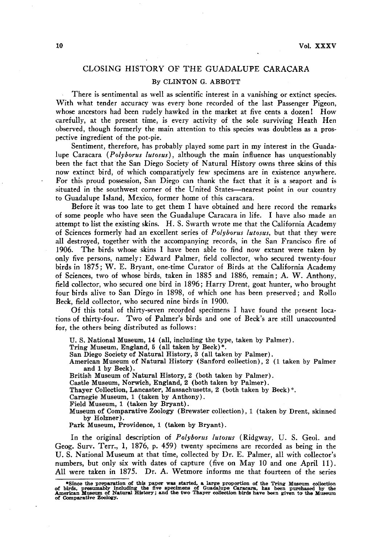## **CLOSING HISTORY OF THE GUADALUPE CARACARA**

## **By CLINTON G. ABBOTT**

**There is sentimental as well as scientific interest in a vanishing or extinct species. With what tender accuracy was every bone recorded of the last Passenger Pigeon, whose ancestors had been rudely hawked in the market at five cents a dozen! How carefully, at the present time, is every activity of the sole surviving Heath Hen observed, though formerly the main attention to this species was doubtless as a prospective ingredient of the pot-pie.** 

**Sentiment, therefore, has probably played some part in my interest in the Guadalupe Caracara (Polyborus lutoszrs) , although the main influence has unquestionably been the fact that the San Diego Society of Natural History owns three skins of this now extinct bird, of which comparatiyely few specimens are in existence anywhere. For this proud possession, San Diego can thank the fact that it is a seaport and is situated in the southwest corner of the United States-nearest point in our country to Guadalupe Island, Mexico, former home of this caracara.** 

**Before it was too late to get them I have obtained and here record the remarks of some people who have seen the Guadalupe Caracara in life. I have also made an attempt to list the existing skins. H. S. Swarth wrote me that the California Academy**  of Sciences formerly had an excellent series of *Polyborus lutosus*, but that they were **all destroyed, together with the accompanying records, in the San Francisco fire of 1906. The birds whose skins 1 have been able to find now extant were taken by only five persons, namely: Edward Palmer, field collector, who secured twenty-four birds in 1875; W. E. Bryant, one-time Curator of Birds at the California Academy of Sciences, two of whose birds, taken in 1885 and 1886, remain; A. W. Anthony, field collector, who secured one bird in 1896; Harry Drent, goat hunter, who brought four birds alive to San Diego in 1898, of which one has been preserved; and Rollo Beck, field collector, who secured nine birds in 1900.** 

**Of this total of thirty-seven recorded specimens I have found the present locations of thirty-four. Two of Palmer's birds and one of Beck's are still unaccounted for, the others being distributed as follows:** 

**U. S. National Museum, 14 (all, including the type, taken by Palmer).** 

**Tring Museum, England, 6 (all taken by Beck) \*.** 

**San Diego Society of Natural History, 3 (all taken by Palmer).** 

**American Museum of Natural History (Sanford collection), 2 (1 taken by Palmer and 1 by Beck).** 

**British Museum of Natural History, 2 (both taken by Palmer).** 

**Castle Museum, Norwich, England, 2 (both taken by Palmer).** 

**Thayer Collection, Lancaster, Massachusetts, 2 (both taken by Beck) \*.** 

**Carnegie Museum, 1 (taken by Anthony).** 

**Field Museum, 1 (taken by Bryant).** 

**Museum of Comparative Zoology (Brewster collection), 1 (taken by Drent, skinned by Holzner) .** 

**Park Museum, Providence, 1 (taken by Bryant).** 

In the original description of Polyborus lutosus (Ridgway, U. S. Geol. and **Geog. Surv. Terr., 1, 1876, p. 459) twenty specimens are recorded as being in the U. S. National Museum at that time, collected by Dr. E. Palmer, all with collector's numbers, but only six with dates of capture (five on May 10 and one April 11). All were taken in 1875. Dr. A. Wetmore informs me that fourteen of the series** 

Since the preparation of this paper was started, a large proportion of the Tring Museum collection<sup>\$</sup><br>of birds, presumably including the five specimens of Guadalupe Caracara, has been purchased by the<br>American Museum of Na of Comparative Zoology.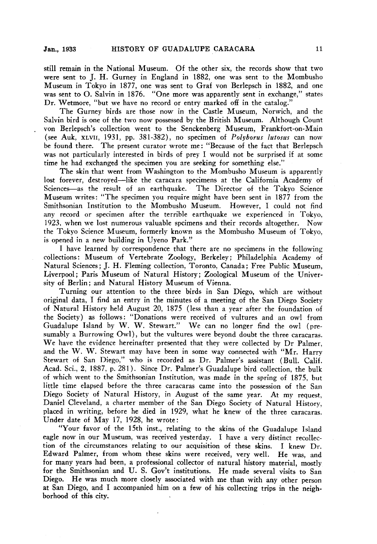**still remain in the National Museum. Of the other six, the records show that two were sent to J. H. Gurney in England in 1882, one was sent to the Mombusho Museum in Tokyo in 1877, one was sent to Graf von Berlepsch in 1882, and one was sent to 0. Salvin in 1876. "One more was apparently sent in exchange," states Dr. Wetmore, "but we have no record or entry marked off in the catalog."** 

**The Gurney birds are those now in the Castle Museum, Norwich, and the Salvin bird is one of the two now possessed by the British Museum. Although Count . von Berlepsch's collection went to the Senckenberg Museum, Frankfort-on-Main (see Auk, XLVII, 1931, pp. 381-382), no specimen of Polyborus lutosus can now be found there. The present curator wrote me: "Because of the fact that Berlepsch was not particularly interested in birds of prey I would not be surprised if at some time he had exchanged the specimen you are seeking for something else."** 

**The skin that went from Washington to the Mombusho Museum is apparently lost forever, destroyed-like the caracara specimens at the California Academy of Sciences-as the result of an earthquake. The Director of the Tokyo Science Museum writes: "The specimen you require might have been sent in 1877 from the Smithsonian Institution to the Mombusho Museum. However, I could not find any record or specimen after the terrible earthquake we experienced in Tokyo, 1923, when we lost numerous valuable spcimens and their records altogether. Now the Tokyo Science Museum, formerly known as the Mombusho Museum of Tokyo, is opened in a new building in Uyeno Park."** 

**I have learned by correspondence that there are no specimens in the following collections : Museum of Vertebrate Zoology, Berkeley; Philadelphia Academy of Natural Sciences ; J. H. Fleming collection, Toronto, Canada ; Free Public Museum, Liverpool ; Paris Museum of Natural History; Zoological Museum of the University of Berlin ; and Natural History Museum of Vienna.** 

**Turning our attention to the three birds in San Diego, which are without original data, I find an entry in the minutes of a meeting of the San Diego Society**  of Natural History held August 20, 1875 (less than a year after the foundation of **the Society) as follows: "Donations were received of vultures and an owl from Guadalupe Island by W. W. Stewart." We can no longer find the owl (presumably a Burrowing Owl), but the vultures were beyond doubt the three caracaras. We have the evidence hereinafter presented that they were collected by Dr Palmer, and the W. W. Stewart may have been in some way connected with "Mr. Harry Stewart of San Diego," who is recorded as Dr. Palmer's assistant (Bull. Calif. Acad. Sci., 2, 1887, p. 281). Since Dr. Palmer's Guadalupe bird collection, the bulk of which went to the Smithsonian Institution, was made in the spring of 1875, but little time elapsed before the three caracaras came into the possession of the San Diego Society of Natural History, in August of the same year. At my request, Daniel Cleveland, a charter member of the San Diego Society of Natural History, placed in writing, before he died in 1929, what he knew of the three caracaras. Under date of May 17, 1928, he wrote:** 

**"Your favor of the 15th inst., relating to the skins of the Guadalupe Island eagle now in our Museum, was received yesterday. I have a very distinct recollection of the circumstances relating to our acquisition of these skins. I knew Dr. Edward Palmer, from whom these skins were received, very well. He was, and for many years had been, a professional collector of natural history material, mostly for the Smithsonian and U. S. Gov't institutions. He made several visits to San Diego. He was much more closely associated with me than with any other person at San Diego, and I accompanied him on a few of his collecting trips in the neighborhood of this city.**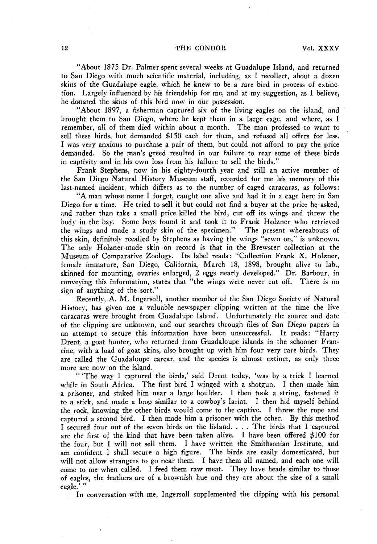## **12 THE CONDOR Vol. xxxv**

**"About 1875 Dr. Palmer spent several weeks at Guadalupe Island, and returned to San Diego with much scientific material, including, as I recollect, about a dozen skins of the Guadalupe eagle, which he knew to be a rare bird in process of extinction. Largely influenced by his friendship for me, and at my suggestion, as I believe, he donated the skins of this bird now in our possession.** 

**"About 1897, a fisherman captured six of the living eagles on the island, and brought them to San Diego, where he kept them in a large cage, and where, as I remember, all of them died within about a month. The man professed to want to sell these birds, but demanded \$150 each for them, and refused all offers for less. . I was very anxious to purchase a pair of them, but could not afford to pay the price demanded. So the man's greed resulted in our failure to rear some of these birds in captivity and in his own loss from his failure to sell the birds."** 

**Frank Stephens, now in his eighty-fourth year and still an active member of the San Diego Natural History Museum staff, recorded for me his memory of this last-named incident, which differs as to the number of caged caracaras, as follows:** 

**"A man whose name I forget, caught one alive and had it in a cage here in San Diego for a time. He tried to sell it but could not find a buyer at the price he-asked, and rather than take a small price killed the bird, cut off its wings and threw the body in the bay. Some boys found it and took it to Frank Holzner who retrieved the wings and made a study skin of the specimen." The present whereabouts of this skin, definitely recalled by Stephens as having the wings "sewn on," is unknown. The only Holzner-made skin on record is that in the Brewster collection at the Museum of Comparative Zoology. Its label reads: "Collection Frank X. Holzner, female immature, San Diego, California, March 18, 1898, brought alive to lab., skinned for mounting, ovaries enlarged, 2 eggs nearly developed." Dr. Barbour, in conveying this information, states that "the wings were never cut off. There is no sign of anything of the sort."** 

**Recently, A. M. Ingersoll, another member of the San Diego Societv of Natural History, has given me a valuable newspaper clipping written at the time the live caracaras were brought from Guadalupe Island. Unfortunately the source and date of the clipping are unknown, and our searches through files of San Diego papers in an attempt to secure this information have been unsuccessful. It reads: "Harry Drent, a goat hunter, who returned from Guadaloupe islands in the schooner Frantine, with a load of goat skins, also brought up with him four very rare birds. They are called the Guadaloupe carcar, and the species is almost extinct, as only three more are now on the island.** 

**" 'The way I captured the birds,' said Drent today, 'was by a trick I learned while in South Africa. The first bird I winged with a shotgun. I then made him a prisoner, and staked him near a large boulder. I then took a string, fastened it to a stick, and made a loop similar to a cowboy's lariat. I then hid myself behind the rock, knowing the other birds would come to the captive. I threw the rope and captured a second bird. I then made him a prisoner with the other. By this method I secured four out of the seven birds on the lisland. . . . The birds that I captured are the first of the kind that have been taken alive. I have been offered \$100 for the four, but I will not sell them. I have written the Smithsonian Institute, and**  am confident I shall secure a high figure. The birds are easily domesticated, but **will not allow strangers to go near them. I have them all named, and each one will come to me when called. I feed them raw meat. They have heads similar to those of eagles, the feathers are of a brownish hue and they are about the size of a small eagle.' "** 

**In conversation with me, Ingersoll supplemented the clipping with his personal**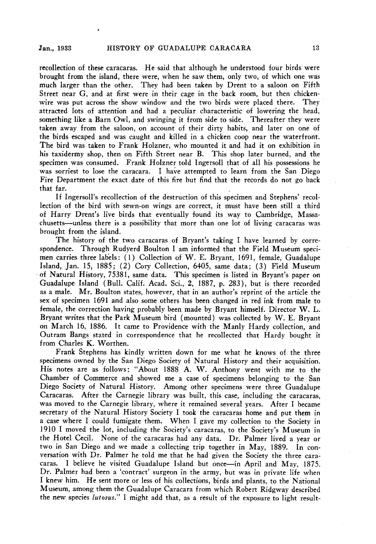**recollection of these caracaras. He said that although he understood four birds were brought from the island, there were, when he saw them, only two, of which one was much larger than the other. They had been taken by Drent to a saloon on Fifth Street near G, and at first were in their cage in the back room, but then chickenwire was put across the show window and the two birds were placed there. They attracted lots of attention and had a peculiar characteristic of lowering the head, something like a Barn Owl, and swinging it from side to side. Thereafter they were taken away from the saloon, on account of their dirty habits, and later on one of the birds escaped and was caught and killed in a chicken coop near the waterfront. The bird was taken to Frank Holzner, who mounted it and had it on exhibition in his taxidermy shop, then on Fifth Street near B. This shop later burned, and the specimen was consumed. Frank Holzner told Ingersoll that of all his possessions he was sorriest to lose the caracara. I have attempted to learn from the San Diego Fire Department the exact date of this fire but find that the records do not go back that far.** 

**If Ingersoll's recollection of the destruction of this specimen and Stephens' recollection of the bird with sewn-on wings are correct, it must have been still a third of Harry Drent's live birds that eventually found its way to Cambridge, Massachusetts-unless there is a possibility that more than one lot of living caracaras was brought from the island.** 

**The history of the two caracaras of Bryant's taking I have learned by correspondence. Through Rudyerd Boulton I am informed that the Field Museum specimen carries three labels: (1) Collection of W. E. Bryant, 1691, female, Guadalupe**  Island, Jan. 15, 1885; (2) Cory Collection, 6405, same data; (3) Field Museum **of Natural History, 75381, same data. This specimen is listed in Bryant's paper on Guadalupe Island (Bull. Calif. Acad. Sci., 2, 1887, p. 283), but is there recorded as a male. Mr. Boulton states, however, that in an author's reprint of the article the sex of specimen 1691 and also some others has been changed in red ink from male to**  female, the correction having probably been made by Bryant himself. Director W. L. **Bryant writes that the Park Museum bird (mounted) was collected by W. E. Bryant on March 16, 1886. It came to Providence with the Manly Hardy collection, and Outram Bangs stated in correspondence that he recollected that Hardy bought it from Charles K. Worthen.** 

**Frank Stephens has kindly written down for me what he knows of the three specimens owned by the San Diego Society of Natural History and their acquisition. His notes are as follows: "About 1888 A. W. Anthony went with me to the Chamber of Commerce and showed me a case of specimens belonging to the San Diego Society of Natural History. Among other specimens were three Guadalupe Caracaras. After the Carnegie library was built, this case, including the caracaras, was moved to the Carnegie library, where it remained several years. After I became secretary of the Natural History Society I took the caracaras home and put them in a case where I could fumigate them. When I gave my collection to the Society in 1910 I moved the lot, including the Society's caracaras, to the Society's Museum in the Hotel Cecil. None of the caracaras had anv data. Dr. Palmer lived a year or two in San Diego and we made a collecting trip together in May, 1889. In conversation with Dr. Palmer he told me that he had given the Society the three cara**caras. I believe he visited Guadalupe Island but once-in April and May, 1875. **Dr. Palmer had been a 'contract' surgeon in the army, but was in private life when I knew him. He sent more or less of his collections, birds and plants, to the National Museum, among them the Guadalupe Caracara from which Robert Ridgway described the new species Iutosus." I might add that, as a result of the exposure to light result-**